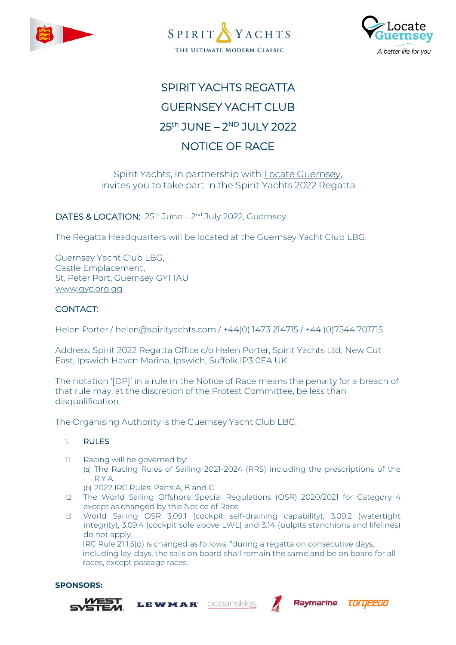





# SPIRIT YACHTS REGATTA **GUERNSEY YACHT CLUB** 25<sup>th</sup> JUNE – 2<sup>ND</sup> JULY 2022 NOTICE OF RACE

# Spirit Yachts, in partnership with **Locate Guernsey**, invites you to take part in the Spirit Yachts 2022 Regatta

# DATES & LOCATION: 25<sup>th</sup> June – 2<sup>nd</sup> July 2022, Guernsey

The Regatta Headquarters will be located at the Guernsey Yacht Club LBG.

Guernsey Yacht Club LBG, Castle Emplacement, St. Peter Port, Guernsey GY1 1AU [www.gyc.org.gg](http://www.gyc.org.gg/)

# CONTACT:

Helen Porter / helen@spirityachts.com / +44(0) 1473 214715 / +44 (0)7544 701715

Address: Spirit 2022 Regatta Office c/o Helen Porter, Spirit Yachts Ltd, New Cut East, Ipswich Haven Marina, Ipswich, Suffolk IP3 0EA UK

The notation '[DP]' in a rule in the Notice of Race means the penalty for a breach of that rule may, at the discretion of the Protest Committee, be less than disqualification.

The Organising Authority is the Guernsey Yacht Club LBG.

# 1. RULES

- 1.1 Racing will be governed by: (a) The Racing Rules of Sailing 2021-2024 (RRS) including the prescriptions of the R.Y.A.
	- (b) 2022 IRC Rules, Parts A, B and C.

LEWMAR

- 1.2 The World Sailing Offshore Special Regulations (OSR) 2020/2021 for Category 4 except as changed by this Notice of Race
- 1.3 World Sailing OSR 3.09.1 (cockpit self-draining capability), 3.09.2 (watertight integrity), 3.09.4 (cockpit sole above LWL) and 3.14 (pulpits stanchions and lifelines) do not apply. IRC Rule 21.1.5(d) is changed as follows: "during a regatta on consecutive days,

oceanskies

including lay-days, the sails on board shall remain the same and be on board for all races, except passage races.

Ravmarine

TOrqeedo

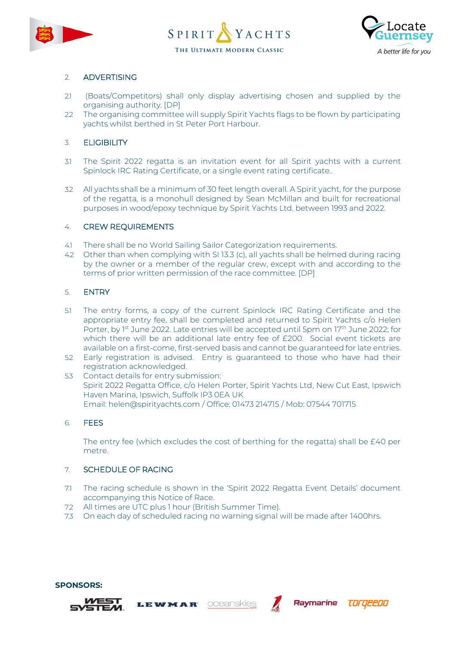





# 2. ADVERTISING

- 2.1 (Boats/Competitors) shall only display advertising chosen and supplied by the organising authority. [DP]
- 2.2 The organising committee will supply Spirit Yachts flags to be flown by participating yachts whilst berthed in St Peter Port Harbour.

# 3. ELIGIBILITY

- 3.1 The Spirit 2022 regatta is an invitation event for all Spirit yachts with a current Spinlock IRC Rating Certificate, or a single event rating certificate..
- 3.2 All yachts shall be a minimum of 30 feet length overall. A Spirit yacht, for the purpose of the regatta, is a monohull designed by Sean McMillan and built for recreational purposes in wood/epoxy technique by Spirit Yachts Ltd. between 1993 and 2022.

# 4. CREW REQUIREMENTS

- 4.1 There shall be no World Sailing Sailor Categorization requirements.
- 4.2 Other than when complying with SI 13.3 (c), all yachts shall be helmed during racing by the owner or a member of the regular crew, except with and according to the terms of prior written permission of the race committee. [DP]

### 5. ENTRY

- 5.1 The entry forms, a copy of the current Spinlock IRC Rating Certificate and the appropriate entry fee, shall be completed and returned to Spirit Yachts c/o Helen Porter, by 1<sup>st</sup> June 2022. Late entries will be accepted until 5pm on 17<sup>th</sup> June 2022; for which there will be an additional late entry fee of £200. Social event tickets are available on a first-come, first-served basis and cannot be guaranteed for late entries.
- 5.2 Early registration is advised. Entry is guaranteed to those who have had their registration acknowledged.
- 5.3 Contact details for entry submission: Spirit 2022 Regatta Office, c/o Helen Porter, Spirit Yachts Ltd, New Cut East, Ipswich Haven Marina, Ipswich, Suffolk IP3 0EA UK Email: helen@spirityachts.com / Office: 01473 214715 / Mob: 07544 701715

#### 6. FEES

The entry fee (which excludes the cost of berthing for the regatta) shall be £40 per metre.

# 7. SCHEDULE OF RACING

7.1 The racing schedule is shown in the 'Spirit 2022 Regatta Event Details' document accompanying this Notice of Race.

oceanskies

Ravmarine

TOrgeebo

7.2 All times are UTC plus 1 hour (British Summer Time).

LEWMAR

7.3 On each day of scheduled racing no warning signal will be made after 1400hrs.

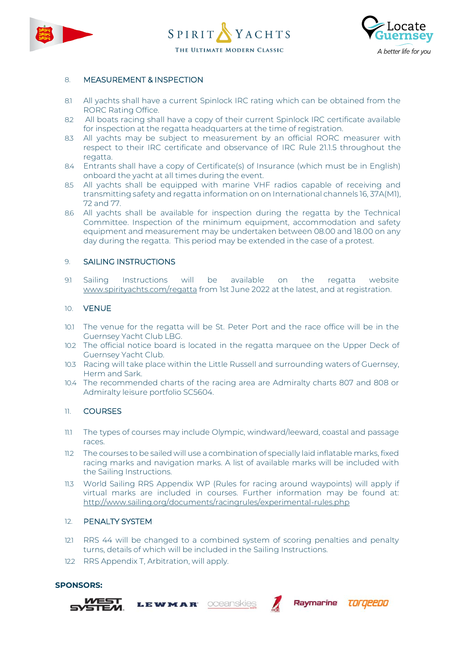





# 8. MEASUREMENT & INSPECTION

- 8.1 All yachts shall have a current Spinlock IRC rating which can be obtained from the RORC Rating Office.
- 8.2 All boats racing shall have a copy of their current Spinlock IRC certificate available for inspection at the regatta headquarters at the time of registration.
- 8.3 All yachts may be subject to measurement by an official RORC measurer with respect to their IRC certificate and observance of IRC Rule 21.1.5 throughout the regatta.
- 8.4 Entrants shall have a copy of Certificate(s) of Insurance (which must be in English) onboard the yacht at all times during the event.
- 8.5 All yachts shall be equipped with marine VHF radios capable of receiving and transmitting safety and regatta information on on International channels 16, 37A(M1), 72 and 77.
- 8.6 All yachts shall be available for inspection during the regatta by the Technical Committee. Inspection of the minimum equipment, accommodation and safety equipment and measurement may be undertaken between 08.00 and 18.00 on any day during the regatta. This period may be extended in the case of a protest.

#### 9. SAILING INSTRUCTIONS

9.1 Sailing Instructions will be available on the regatta website www.spirityachts.com/regatta from 1st June 2022 at the latest, and at registration.

#### 10. VENUE

- 10.1 The venue for the regatta will be St. Peter Port and the race office will be in the Guernsey Yacht Club LBG.
- 10.2 The official notice board is located in the regatta marquee on the Upper Deck of Guernsey Yacht Club.
- 10.3 Racing will take place within the Little Russell and surrounding waters of Guernsey, Herm and Sark.
- 10.4 The recommended charts of the racing area are Admiralty charts 807 and 808 or Admiralty leisure portfolio SC5604.

#### 11. COURSES

- 11.1 The types of courses may include Olympic, windward/leeward, coastal and passage races.
- 11.2 The courses to be sailed will use a combination of specially laid inflatable marks, fixed racing marks and navigation marks. A list of available marks will be included with the Sailing Instructions.
- 11.3 World Sailing RRS Appendix WP (Rules for racing around waypoints) will apply if virtual marks are included in courses. Further information may be found at: <http://www.sailing.org/documents/racingrules/experimental-rules.php>

#### 12. PENALTY SYSTEM

12.1 RRS 44 will be changed to a combined system of scoring penalties and penalty turns, details of which will be included in the Sailing Instructions.

oceanskies

Raymarine

TOrgeebo

12.2 RRS Appendix T, Arbitration, will apply.

LEWMAR

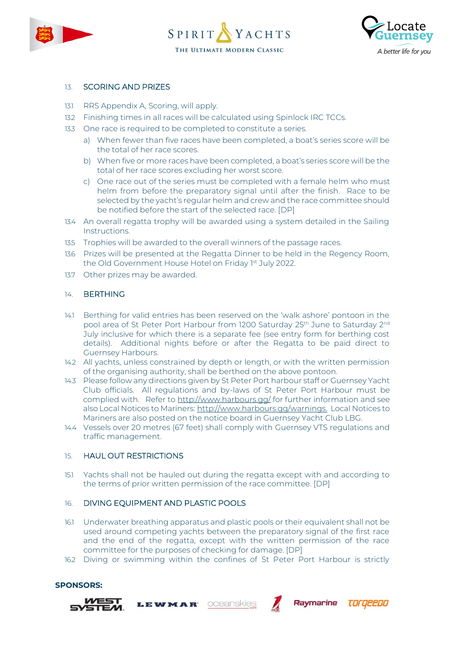





## 13. SCORING AND PRIZES

- 13.1 RRS Appendix A, Scoring, will apply.
- 13.2 Finishing times in all races will be calculated using Spinlock IRC TCCs.
- 13.3 One race is required to be completed to constitute a series.
	- a) When fewer than five races have been completed, a boat's series score will be the total of her race scores.
	- b) When five or more races have been completed, a boat's series score will be the total of her race scores excluding her worst score.
	- c) One race out of the series must be completed with a female helm who must helm from before the preparatory signal until after the finish. Race to be selected by the yacht's regular helm and crew and the race committee should be notified before the start of the selected race. [DP]
- 13.4 An overall regatta trophy will be awarded using a system detailed in the Sailing Instructions.
- 13.5 Trophies will be awarded to the overall winners of the passage races.
- 13.6 Prizes will be presented at the Regatta Dinner to be held in the Regency Room, the Old Government House Hotel on Friday 1st July 2022.
- 13.7 Other prizes may be awarded.

#### 14. BERTHING

- 14.1 Berthing for valid entries has been reserved on the 'walk ashore' pontoon in the pool area of St Peter Port Harbour from 1200 Saturday 25<sup>th</sup> June to Saturday 2<sup>nd</sup> July inclusive for which there is a separate fee (see entry form for berthing cost details). Additional nights before or after the Regatta to be paid direct to Guernsey Harbours.
- 14.2 All yachts, unless constrained by depth or length, or with the written permission of the organising authority, shall be berthed on the above pontoon.
- 14.3 Please follow any directions given by St Peter Port harbour staff or Guernsey Yacht Club officials. All regulations and by-laws of St Peter Port Harbour must be complied with. Refer to <http://www.harbours.gg/> for further information and see also Local Notices to Mariners: [http://www.harbours.gg/warnings.](http://www.harbours.gg/warnings) Local Notices to Mariners are also posted on the notice board in Guernsey Yacht Club LBG.
- 14.4 Vessels over 20 metres (67 feet) shall comply with Guernsey VTS regulations and traffic management.

#### 15. HAUL OUT RESTRICTIONS

15.1 Yachts shall not be hauled out during the regatta except with and according to the terms of prior written permission of the race committee. [DP]

#### 16. DIVING EQUIPMENT AND PLASTIC POOLS

LEWMAR

- 16.1 Underwater breathing apparatus and plastic pools or their equivalent shall not be used around competing yachts between the preparatory signal of the first race and the end of the regatta, except with the written permission of the race committee for the purposes of checking for damage. [DP]
- 16.2 Diving or swimming within the confines of St Peter Port Harbour is strictly

oceanskies

Raymarine

**TOrgeeDO** 

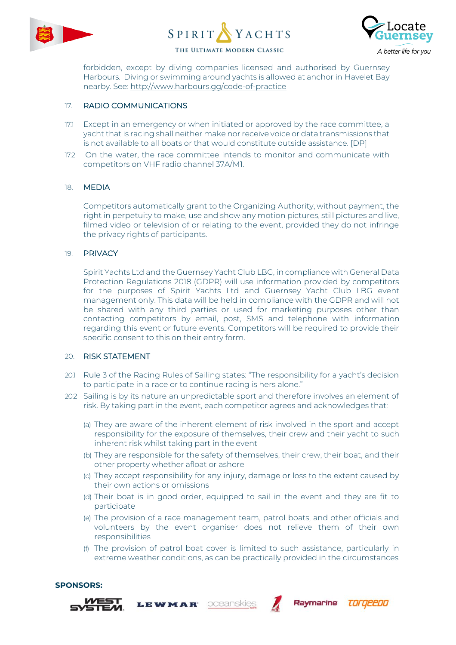





forbidden, except by diving companies licensed and authorised by Guernsey Harbours. Diving or swimming around yachts is allowed at anchor in Havelet Bay nearby. See:<http://www.harbours.gg/code-of-practice>

### 17. RADIO COMMUNICATIONS

- 17.1 Except in an emergency or when initiated or approved by the race committee, a yacht that is racing shall neither make nor receive voice or data transmissions that is not available to all boats or that would constitute outside assistance. [DP]
- 17.2 On the water, the race committee intends to monitor and communicate with competitors on VHF radio channel 37A/M1.

#### 18. MEDIA

Competitors automatically grant to the Organizing Authority, without payment, the right in perpetuity to make, use and show any motion pictures, still pictures and live, filmed video or television of or relating to the event, provided they do not infringe the privacy rights of participants.

#### 19. PRIVACY

Spirit Yachts Ltd and the Guernsey Yacht Club LBG, in compliance with General Data Protection Regulations 2018 (GDPR) will use information provided by competitors for the purposes of Spirit Yachts Ltd and Guernsey Yacht Club LBG event management only. This data will be held in compliance with the GDPR and will not be shared with any third parties or used for marketing purposes other than contacting competitors by email, post, SMS and telephone with information regarding this event or future events. Competitors will be required to provide their specific consent to this on their entry form.

#### 20. RISK STATEMENT

- 20.1 Rule 3 of the Racing Rules of Sailing states: "The responsibility for a yacht's decision to participate in a race or to continue racing is hers alone."
- 20.2 Sailing is by its nature an unpredictable sport and therefore involves an element of risk. By taking part in the event, each competitor agrees and acknowledges that:
	- (a) They are aware of the inherent element of risk involved in the sport and accept responsibility for the exposure of themselves, their crew and their yacht to such inherent risk whilst taking part in the event
	- (b) They are responsible for the safety of themselves, their crew, their boat, and their other property whether afloat or ashore
	- (c) They accept responsibility for any injury, damage or loss to the extent caused by their own actions or omissions
	- (d) Their boat is in good order, equipped to sail in the event and they are fit to participate
	- (e) The provision of a race management team, patrol boats, and other officials and volunteers by the event organiser does not relieve them of their own responsibilities
	- (f) The provision of patrol boat cover is limited to such assistance, particularly in extreme weather conditions, as can be practically provided in the circumstances



**SPONSORS:**

# LEWMAR